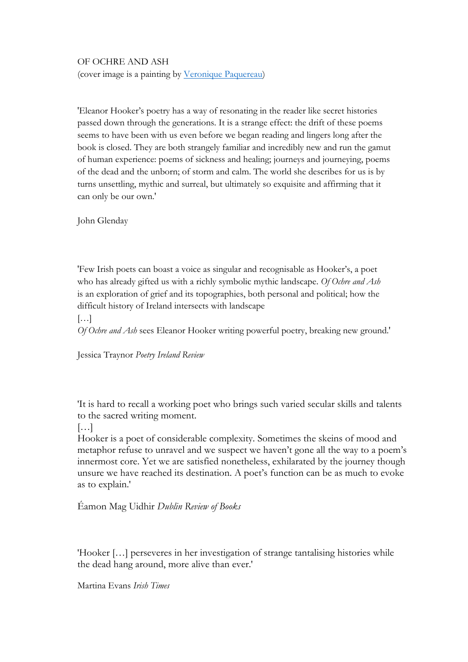## OF OCHRE AND ASH

(cover image is a painting by Veronique Paquereau)

'Eleanor Hooker's poetry has a way of resonating in the reader like secret histories passed down through the generations. It is a strange effect: the drift of these poems seems to have been with us even before we began reading and lingers long after the book is closed. They are both strangely familiar and incredibly new and run the gamut of human experience: poems of sickness and healing; journeys and journeying, poems of the dead and the unborn; of storm and calm. The world she describes for us is by turns unsettling, mythic and surreal, but ultimately so exquisite and affirming that it can only be our own.'

John Glenday

'Few Irish poets can boast a voice as singular and recognisable as Hooker's, a poet who has already gifted us with a richly symbolic mythic landscape. *Of Ochre and Ash* is an exploration of grief and its topographies, both personal and political; how the difficult history of Ireland intersects with landscape

[…]

*Of Ochre and Ash* sees Eleanor Hooker writing powerful poetry, breaking new ground.'

Jessica Traynor *Poetry Ireland Review*

'It is hard to recall a working poet who brings such varied secular skills and talents to the sacred writing moment.

 $[\ldots]$ 

Hooker is a poet of considerable complexity. Sometimes the skeins of mood and metaphor refuse to unravel and we suspect we haven't gone all the way to a poem's innermost core. Yet we are satisfied nonetheless, exhilarated by the journey though unsure we have reached its destination. A poet's function can be as much to evoke as to explain.'

Éamon Mag Uidhir *Dublin Review of Books*

'Hooker […] perseveres in her investigation of strange tantalising histories while the dead hang around, more alive than ever.'

Martina Evans *Irish Times*